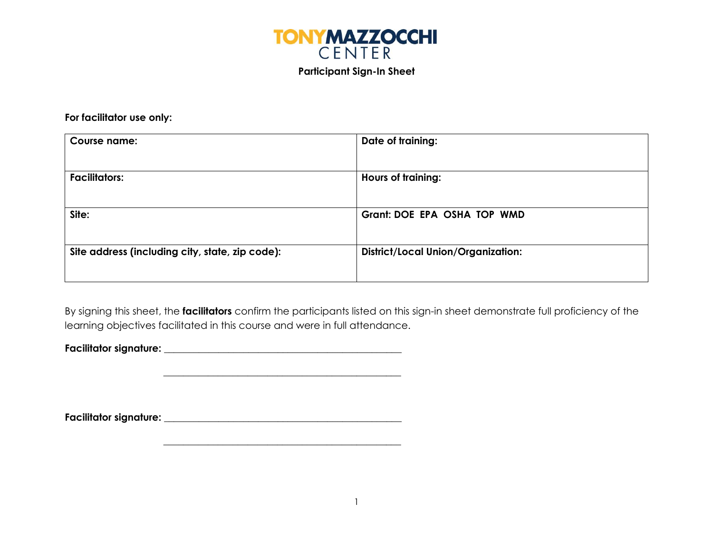

**For facilitator use only:**

| <b>Course name:</b>                             | Date of training:                         |
|-------------------------------------------------|-------------------------------------------|
| <b>Facilitators:</b>                            | Hours of training:                        |
| Site:                                           | Grant: DOE EPA OSHA TOP WMD               |
| Site address (including city, state, zip code): | <b>District/Local Union/Organization:</b> |
|                                                 |                                           |

By signing this sheet, the **facilitators** confirm the participants listed on this sign-in sheet demonstrate full proficiency of the learning objectives facilitated in this course and were in full attendance.

**Facilitator signature:** \_\_\_\_\_\_\_\_\_\_\_\_\_\_\_\_\_\_\_\_\_\_\_\_\_\_\_\_\_\_\_\_\_\_\_\_\_\_\_\_\_\_\_\_\_\_\_\_

**Facilitator signature:** \_\_\_\_\_\_\_\_\_\_\_\_\_\_\_\_\_\_\_\_\_\_\_\_\_\_\_\_\_\_\_\_\_\_\_\_\_\_\_\_\_\_\_\_\_\_\_\_

 $\mathcal{L}_\text{max} = \mathcal{L}_\text{max} = \frac{1}{2} \sum_{i=1}^{n} \frac{1}{2} \sum_{i=1}^{n} \frac{1}{2} \sum_{i=1}^{n} \frac{1}{2} \sum_{i=1}^{n} \frac{1}{2} \sum_{i=1}^{n} \frac{1}{2} \sum_{i=1}^{n} \frac{1}{2} \sum_{i=1}^{n} \frac{1}{2} \sum_{i=1}^{n} \frac{1}{2} \sum_{i=1}^{n} \frac{1}{2} \sum_{i=1}^{n} \frac{1}{2} \sum_{i=1}^{n} \frac{1}{2} \sum$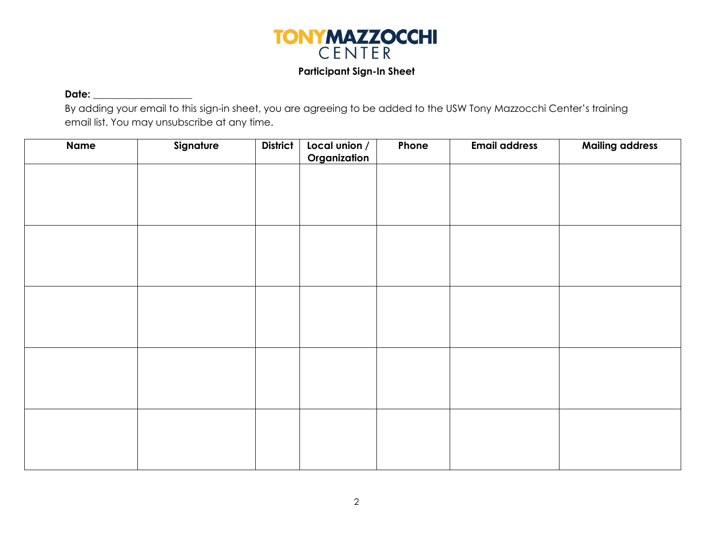

## **Date:** \_\_\_\_\_\_\_\_\_\_\_\_\_\_\_\_\_\_\_\_

| <b>Name</b> | Signature | <b>District</b> | Local union /<br>Organization | Phone | <b>Email address</b> | <b>Mailing address</b> |
|-------------|-----------|-----------------|-------------------------------|-------|----------------------|------------------------|
|             |           |                 |                               |       |                      |                        |
|             |           |                 |                               |       |                      |                        |
|             |           |                 |                               |       |                      |                        |
|             |           |                 |                               |       |                      |                        |
|             |           |                 |                               |       |                      |                        |
|             |           |                 |                               |       |                      |                        |
|             |           |                 |                               |       |                      |                        |
|             |           |                 |                               |       |                      |                        |
|             |           |                 |                               |       |                      |                        |
|             |           |                 |                               |       |                      |                        |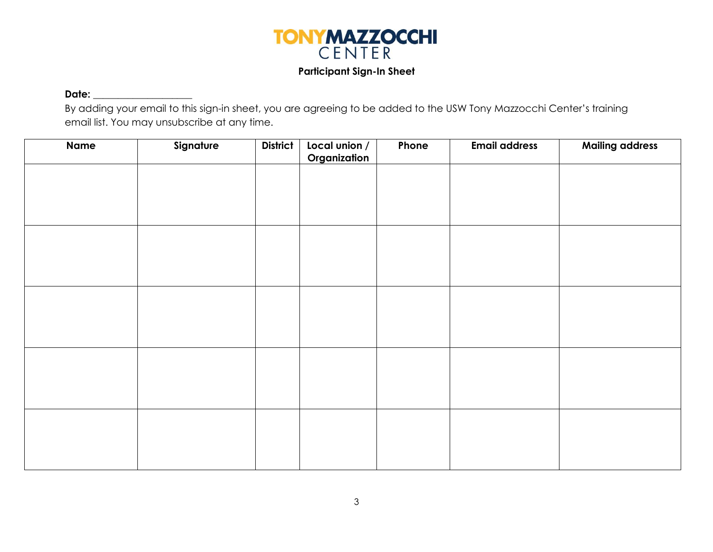

## **Date:** \_\_\_\_\_\_\_\_\_\_\_\_\_\_\_\_\_\_\_\_

| <b>Name</b> | Signature | <b>District</b> | Local union /<br>Organization | Phone | <b>Email address</b> | <b>Mailing address</b> |
|-------------|-----------|-----------------|-------------------------------|-------|----------------------|------------------------|
|             |           |                 |                               |       |                      |                        |
|             |           |                 |                               |       |                      |                        |
|             |           |                 |                               |       |                      |                        |
|             |           |                 |                               |       |                      |                        |
|             |           |                 |                               |       |                      |                        |
|             |           |                 |                               |       |                      |                        |
|             |           |                 |                               |       |                      |                        |
|             |           |                 |                               |       |                      |                        |
|             |           |                 |                               |       |                      |                        |
|             |           |                 |                               |       |                      |                        |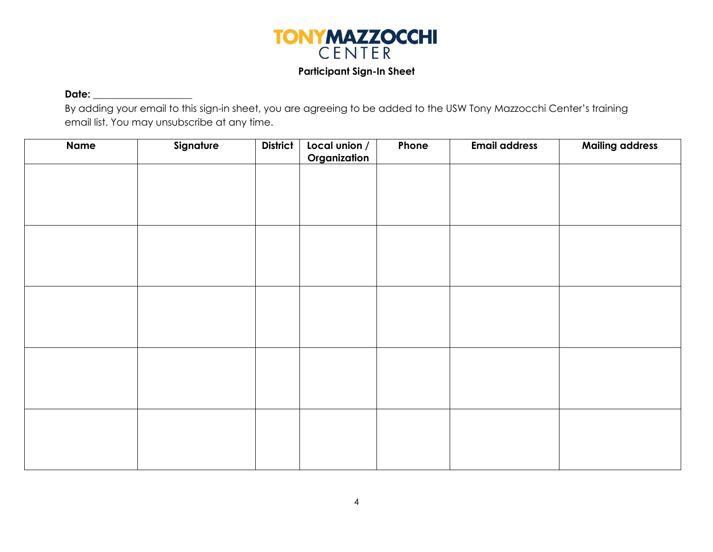

## **Date:** \_\_\_\_\_\_\_\_\_\_\_\_\_\_\_\_\_\_\_\_

| <b>Name</b> | Signature | <b>District</b> | Local union /<br>Organization | Phone | <b>Email address</b> | <b>Mailing address</b> |
|-------------|-----------|-----------------|-------------------------------|-------|----------------------|------------------------|
|             |           |                 |                               |       |                      |                        |
|             |           |                 |                               |       |                      |                        |
|             |           |                 |                               |       |                      |                        |
|             |           |                 |                               |       |                      |                        |
|             |           |                 |                               |       |                      |                        |
|             |           |                 |                               |       |                      |                        |
|             |           |                 |                               |       |                      |                        |
|             |           |                 |                               |       |                      |                        |
|             |           |                 |                               |       |                      |                        |
|             |           |                 |                               |       |                      |                        |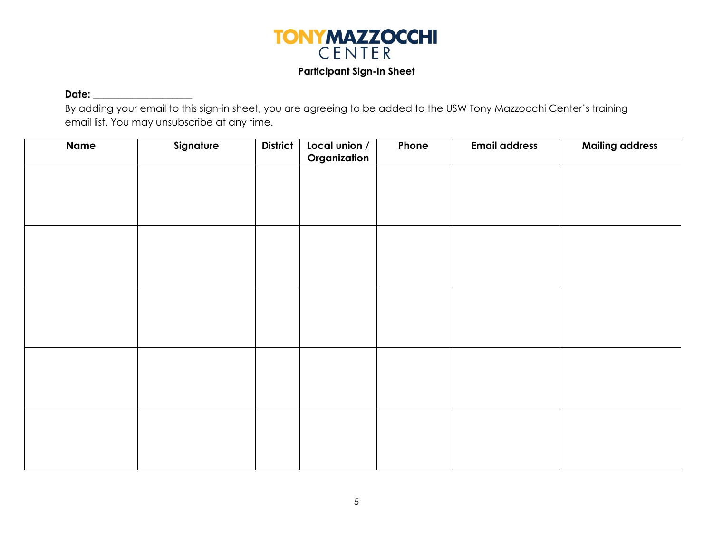

## **Date:** \_\_\_\_\_\_\_\_\_\_\_\_\_\_\_\_\_\_\_\_

| <b>Name</b> | Signature | <b>District</b> | Local union /<br>Organization | Phone | <b>Email address</b> | <b>Mailing address</b> |
|-------------|-----------|-----------------|-------------------------------|-------|----------------------|------------------------|
|             |           |                 |                               |       |                      |                        |
|             |           |                 |                               |       |                      |                        |
|             |           |                 |                               |       |                      |                        |
|             |           |                 |                               |       |                      |                        |
|             |           |                 |                               |       |                      |                        |
|             |           |                 |                               |       |                      |                        |
|             |           |                 |                               |       |                      |                        |
|             |           |                 |                               |       |                      |                        |
|             |           |                 |                               |       |                      |                        |
|             |           |                 |                               |       |                      |                        |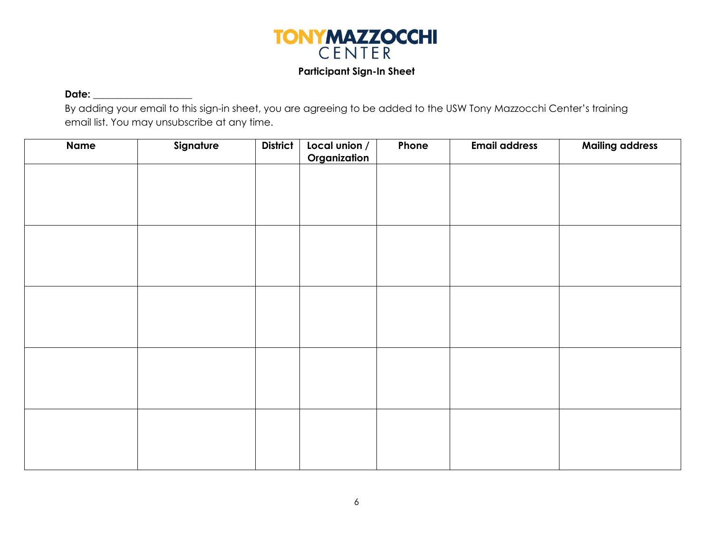

## **Date:** \_\_\_\_\_\_\_\_\_\_\_\_\_\_\_\_\_\_\_\_

| <b>Name</b> | Signature | <b>District</b> | Local union /<br>Organization | Phone | <b>Email address</b> | <b>Mailing address</b> |
|-------------|-----------|-----------------|-------------------------------|-------|----------------------|------------------------|
|             |           |                 |                               |       |                      |                        |
|             |           |                 |                               |       |                      |                        |
|             |           |                 |                               |       |                      |                        |
|             |           |                 |                               |       |                      |                        |
|             |           |                 |                               |       |                      |                        |
|             |           |                 |                               |       |                      |                        |
|             |           |                 |                               |       |                      |                        |
|             |           |                 |                               |       |                      |                        |
|             |           |                 |                               |       |                      |                        |
|             |           |                 |                               |       |                      |                        |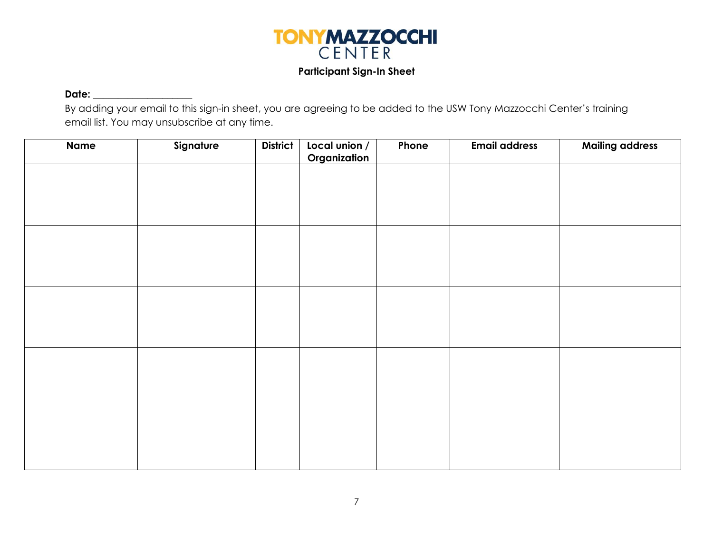

## **Date:** \_\_\_\_\_\_\_\_\_\_\_\_\_\_\_\_\_\_\_\_

| <b>Name</b> | Signature | <b>District</b> | Local union /<br>Organization | Phone | <b>Email address</b> | <b>Mailing address</b> |
|-------------|-----------|-----------------|-------------------------------|-------|----------------------|------------------------|
|             |           |                 |                               |       |                      |                        |
|             |           |                 |                               |       |                      |                        |
|             |           |                 |                               |       |                      |                        |
|             |           |                 |                               |       |                      |                        |
|             |           |                 |                               |       |                      |                        |
|             |           |                 |                               |       |                      |                        |
|             |           |                 |                               |       |                      |                        |
|             |           |                 |                               |       |                      |                        |
|             |           |                 |                               |       |                      |                        |
|             |           |                 |                               |       |                      |                        |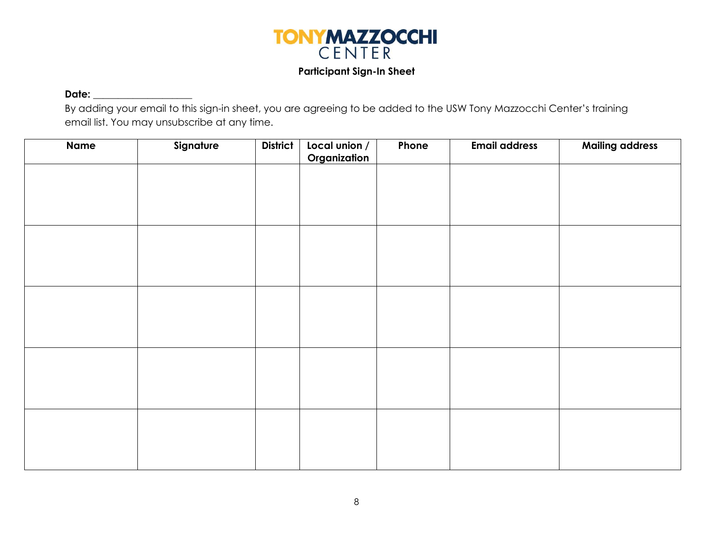

## **Date:** \_\_\_\_\_\_\_\_\_\_\_\_\_\_\_\_\_\_\_\_

| <b>Name</b> | Signature | <b>District</b> | Local union /<br>Organization | Phone | <b>Email address</b> | <b>Mailing address</b> |
|-------------|-----------|-----------------|-------------------------------|-------|----------------------|------------------------|
|             |           |                 |                               |       |                      |                        |
|             |           |                 |                               |       |                      |                        |
|             |           |                 |                               |       |                      |                        |
|             |           |                 |                               |       |                      |                        |
|             |           |                 |                               |       |                      |                        |
|             |           |                 |                               |       |                      |                        |
|             |           |                 |                               |       |                      |                        |
|             |           |                 |                               |       |                      |                        |
|             |           |                 |                               |       |                      |                        |
|             |           |                 |                               |       |                      |                        |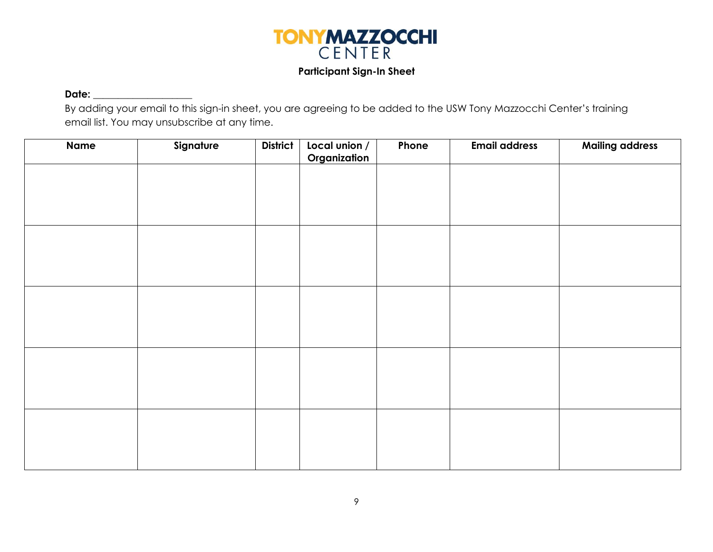

## **Date:** \_\_\_\_\_\_\_\_\_\_\_\_\_\_\_\_\_\_\_\_

| <b>Name</b> | Signature | <b>District</b> | Local union /<br>Organization | Phone | <b>Email address</b> | <b>Mailing address</b> |
|-------------|-----------|-----------------|-------------------------------|-------|----------------------|------------------------|
|             |           |                 |                               |       |                      |                        |
|             |           |                 |                               |       |                      |                        |
|             |           |                 |                               |       |                      |                        |
|             |           |                 |                               |       |                      |                        |
|             |           |                 |                               |       |                      |                        |
|             |           |                 |                               |       |                      |                        |
|             |           |                 |                               |       |                      |                        |
|             |           |                 |                               |       |                      |                        |
|             |           |                 |                               |       |                      |                        |
|             |           |                 |                               |       |                      |                        |